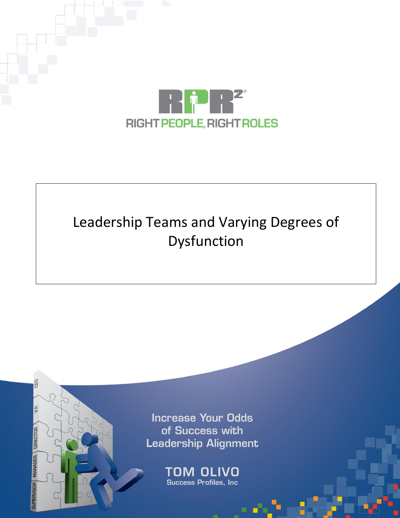

# Leadership Teams and Varying Degrees of Dysfunction

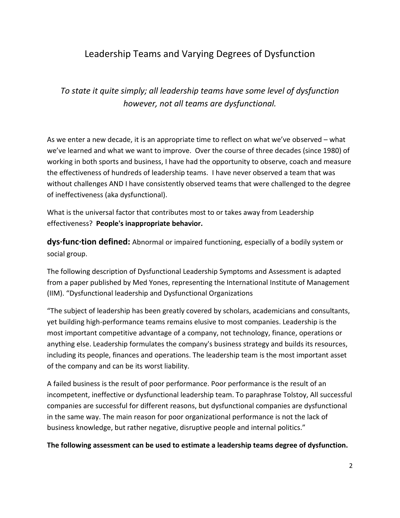# Leadership Teams and Varying Degrees of Dysfunction

*To state it quite simply; all leadership teams have some level of dysfunction however, not all teams are dysfunctional.*

As we enter a new decade, it is an appropriate time to reflect on what we've observed – what we've learned and what we want to improve. Over the course of three decades (since 1980) of working in both sports and business, I have had the opportunity to observe, coach and measure the effectiveness of hundreds of leadership teams. I have never observed a team that was without challenges AND I have consistently observed teams that were challenged to the degree of ineffectiveness (aka dysfunctional).

What is the universal factor that contributes most to or takes away from Leadership effectiveness? **People's inappropriate behavior.**

**dys·func·tion defined:** Abnormal or impaired functioning, especially of a bodily system or social group.

The following description of Dysfunctional Leadership Symptoms and Assessment is adapted from a paper published by Med Yones, representing the International Institute of Management (IIM). "Dysfunctional leadership and Dysfunctional Organizations

"The subject of leadership has been greatly covered by scholars, academicians and consultants, yet building high-performance teams remains elusive to most companies. Leadership is the most important competitive advantage of a company, not technology, finance, operations or anything else. Leadership formulates the company's business strategy and builds its resources, including its people, finances and operations. The leadership team is the most important asset of the company and can be its worst liability.

A failed business is the result of poor performance. Poor performance is the result of an incompetent, ineffective or dysfunctional leadership team. To paraphrase Tolstoy, All successful companies are successful for different reasons, but dysfunctional companies are dysfunctional in the same way. The main reason for poor organizational performance is not the lack of business knowledge, but rather negative, disruptive people and internal politics."

**The following assessment can be used to estimate a leadership teams degree of dysfunction.**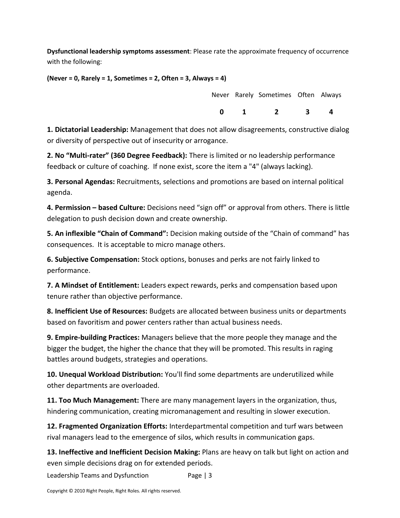**Dysfunctional leadership symptoms assessment**: Please rate the approximate frequency of occurrence with the following:

**(Never = 0, Rarely = 1, Sometimes = 2, Often = 3, Always = 4)**

|              | Never Rarely Sometimes Often Always |                         |              |
|--------------|-------------------------------------|-------------------------|--------------|
| $\mathbf{n}$ | $\overline{\mathbf{z}}$             | $\overline{\mathbf{3}}$ | $\mathbf{a}$ |

**1. Dictatorial Leadership:** Management that does not allow disagreements, constructive dialog or diversity of perspective out of insecurity or arrogance.

**2. No "Multi-rater" (360 Degree Feedback):** There is limited or no leadership performance feedback or culture of coaching. If none exist, score the item a "4" (always lacking).

**3. Personal Agendas:** Recruitments, selections and promotions are based on internal political agenda.

**4. Permission – based Culture:** Decisions need "sign off" or approval from others. There is little delegation to push decision down and create ownership.

**5. An inflexible "Chain of Command":** Decision making outside of the "Chain of command" has consequences. It is acceptable to micro manage others.

**6. Subjective Compensation:** Stock options, bonuses and perks are not fairly linked to performance.

**7. A Mindset of Entitlement:** Leaders expect rewards, perks and compensation based upon tenure rather than objective performance.

**8. Inefficient Use of Resources:** Budgets are allocated between business units or departments based on favoritism and power centers rather than actual business needs.

**9. Empire-building Practices:** Managers believe that the more people they manage and the bigger the budget, the higher the chance that they will be promoted. This results in raging battles around budgets, strategies and operations.

**10. Unequal Workload Distribution:** You'll find some departments are underutilized while other departments are overloaded.

**11. Too Much Management:** There are many management layers in the organization, thus, hindering communication, creating micromanagement and resulting in slower execution.

**12. Fragmented Organization Efforts:** Interdepartmental competition and turf wars between rival managers lead to the emergence of silos, which results in communication gaps.

**13. Ineffective and Inefficient Decision Making:** Plans are heavy on talk but light on action and even simple decisions drag on for extended periods.

Leadership Teams and Dysfunction Page | 3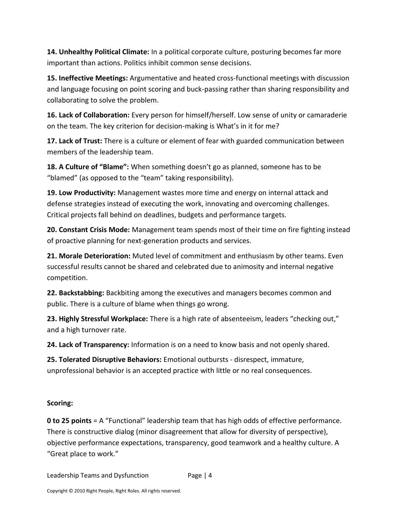**14. Unhealthy Political Climate:** In a political corporate culture, posturing becomes far more important than actions. Politics inhibit common sense decisions.

**15. Ineffective Meetings:** Argumentative and heated cross-functional meetings with discussion and language focusing on point scoring and buck-passing rather than sharing responsibility and collaborating to solve the problem.

**16. Lack of Collaboration:** Every person for himself/herself. Low sense of unity or camaraderie on the team. The key criterion for decision-making is What's in it for me?

**17. Lack of Trust:** There is a culture or element of fear with guarded communication between members of the leadership team.

**18. A Culture of "Blame":** When something doesn't go as planned, someone has to be "blamed" (as opposed to the "team" taking responsibility).

**19. Low Productivity:** Management wastes more time and energy on internal attack and defense strategies instead of executing the work, innovating and overcoming challenges. Critical projects fall behind on deadlines, budgets and performance targets.

**20. Constant Crisis Mode:** Management team spends most of their time on fire fighting instead of proactive planning for next-generation products and services.

**21. Morale Deterioration:** Muted level of commitment and enthusiasm by other teams. Even successful results cannot be shared and celebrated due to animosity and internal negative competition.

**22. Backstabbing:** Backbiting among the executives and managers becomes common and public. There is a culture of blame when things go wrong.

**23. Highly Stressful Workplace:** There is a high rate of absenteeism, leaders "checking out," and a high turnover rate.

**24. Lack of Transparency:** Information is on a need to know basis and not openly shared.

**25. Tolerated Disruptive Behaviors:** Emotional outbursts - disrespect, immature, unprofessional behavior is an accepted practice with little or no real consequences.

#### **Scoring:**

**0 to 25 points** = A "Functional" leadership team that has high odds of effective performance. There is constructive dialog (minor disagreement that allow for diversity of perspective), objective performance expectations, transparency, good teamwork and a healthy culture. A "Great place to work."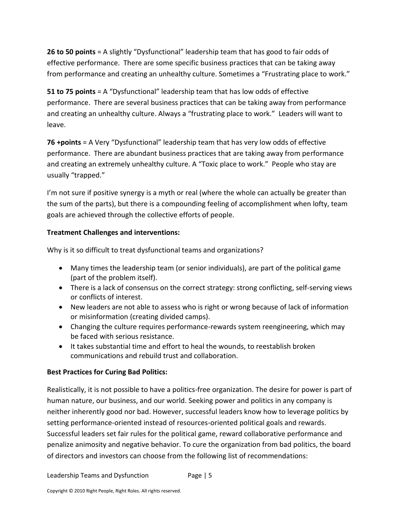**26 to 50 points** = A slightly "Dysfunctional" leadership team that has good to fair odds of effective performance. There are some specific business practices that can be taking away from performance and creating an unhealthy culture. Sometimes a "Frustrating place to work."

**51 to 75 points** = A "Dysfunctional" leadership team that has low odds of effective performance. There are several business practices that can be taking away from performance and creating an unhealthy culture. Always a "frustrating place to work." Leaders will want to leave.

**76 +points** = A Very "Dysfunctional" leadership team that has very low odds of effective performance. There are abundant business practices that are taking away from performance and creating an extremely unhealthy culture. A "Toxic place to work." People who stay are usually "trapped."

I'm not sure if positive synergy is a myth or real (where the whole can actually be greater than the sum of the parts), but there is a compounding feeling of accomplishment when lofty, team goals are achieved through the collective efforts of people.

### **Treatment Challenges and interventions:**

Why is it so difficult to treat dysfunctional teams and organizations?

- Many times the leadership team (or senior individuals), are part of the political game (part of the problem itself).
- There is a lack of consensus on the correct strategy: strong conflicting, self-serving views or conflicts of interest.
- New leaders are not able to assess who is right or wrong because of lack of information or misinformation (creating divided camps).
- Changing the culture requires performance-rewards system reengineering, which may be faced with serious resistance.
- It takes substantial time and effort to heal the wounds, to reestablish broken communications and rebuild trust and collaboration.

## **Best Practices for Curing Bad Politics:**

Realistically, it is not possible to have a politics-free organization. The desire for power is part of human nature, our business, and our world. Seeking power and politics in any company is neither inherently good nor bad. However, successful leaders know how to leverage politics by setting performance-oriented instead of resources-oriented political goals and rewards. Successful leaders set fair rules for the political game, reward collaborative performance and penalize animosity and negative behavior. To cure the organization from bad politics, the board of directors and investors can choose from the following list of recommendations: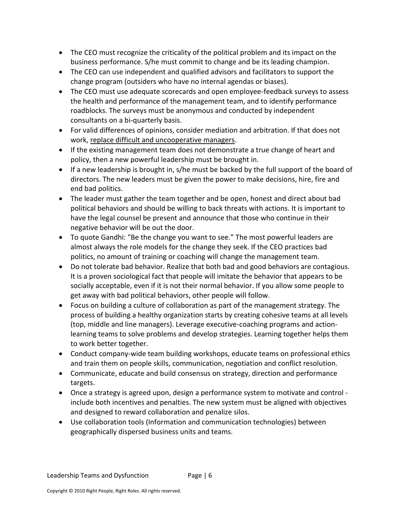- The CEO must recognize the criticality of the political problem and its impact on the business performance. S/he must commit to change and be its leading champion.
- The CEO can use independent and qualified advisors and facilitators to support the change program (outsiders who have no internal agendas or biases).
- The CEO must use adequate scorecards and open employee-feedback surveys to assess the health and performance of the management team, and to identify performance roadblocks. The surveys must be anonymous and conducted by independent consultants on a bi-quarterly basis.
- For valid differences of opinions, consider mediation and arbitration. If that does not work, replace difficult and uncooperative managers.
- If the existing management team does not demonstrate a true change of heart and policy, then a new powerful leadership must be brought in.
- If a new leadership is brought in, s/he must be backed by the full support of the board of directors. The new leaders must be given the power to make decisions, hire, fire and end bad politics.
- The leader must gather the team together and be open, honest and direct about bad political behaviors and should be willing to back threats with actions. It is important to have the legal counsel be present and announce that those who continue in their negative behavior will be out the door.
- To quote Gandhi: "Be the change you want to see." The most powerful leaders are almost always the role models for the change they seek. If the CEO practices bad politics, no amount of training or coaching will change the management team.
- Do not tolerate bad behavior. Realize that both bad and good behaviors are contagious. It is a proven sociological fact that people will imitate the behavior that appears to be socially acceptable, even if it is not their normal behavior. If you allow some people to get away with bad political behaviors, other people will follow.
- Focus on building a culture of collaboration as part of the management strategy. The process of building a healthy organization starts by creating cohesive teams at all levels (top, middle and line managers). Leverage executive-coaching programs and actionlearning teams to solve problems and develop strategies. Learning together helps them to work better together.
- Conduct company-wide team building workshops, educate teams on professional ethics and train them on people skills, communication, negotiation and conflict resolution.
- Communicate, educate and build consensus on strategy, direction and performance targets.
- Once a strategy is agreed upon, design a performance system to motivate and control include both incentives and penalties. The new system must be aligned with objectives and designed to reward collaboration and penalize silos.
- Use collaboration tools (Information and communication technologies) between geographically dispersed business units and teams.